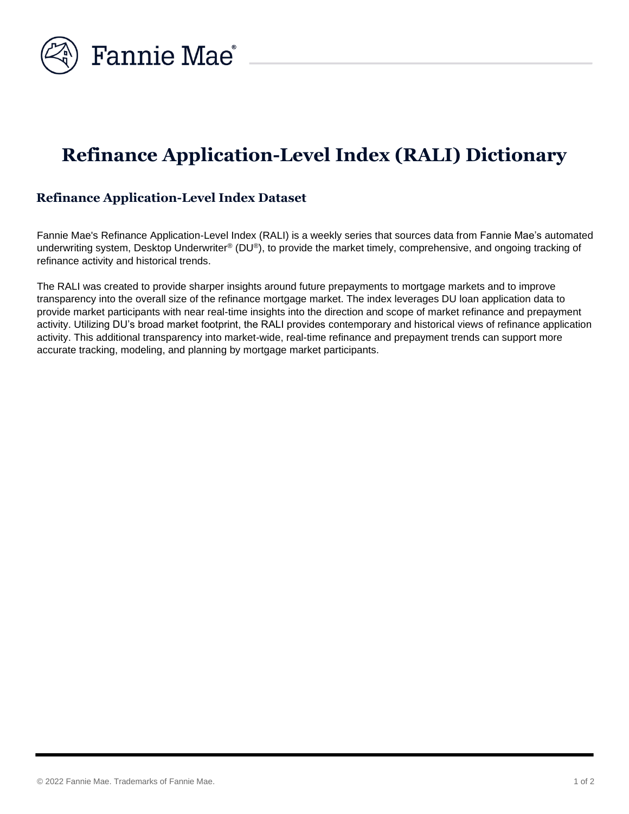

## **Refinance Application-Level Index (RALI) Dictionary**

## **Refinance Application-Level Index Dataset**

Fannie Mae's Refinance Application-Level Index (RALI) is a weekly series that sources data from Fannie Mae's automated underwriting system, Desktop Underwriter® (DU®), to provide the market timely, comprehensive, and ongoing tracking of refinance activity and historical trends.

The RALI was created to provide sharper insights around future prepayments to mortgage markets and to improve transparency into the overall size of the refinance mortgage market. The index leverages DU loan application data to provide market participants with near real-time insights into the direction and scope of market refinance and prepayment activity. Utilizing DU's broad market footprint, the RALI provides contemporary and historical views of refinance application activity. This additional transparency into market-wide, real-time refinance and prepayment trends can support more accurate tracking, modeling, and planning by mortgage market participants.